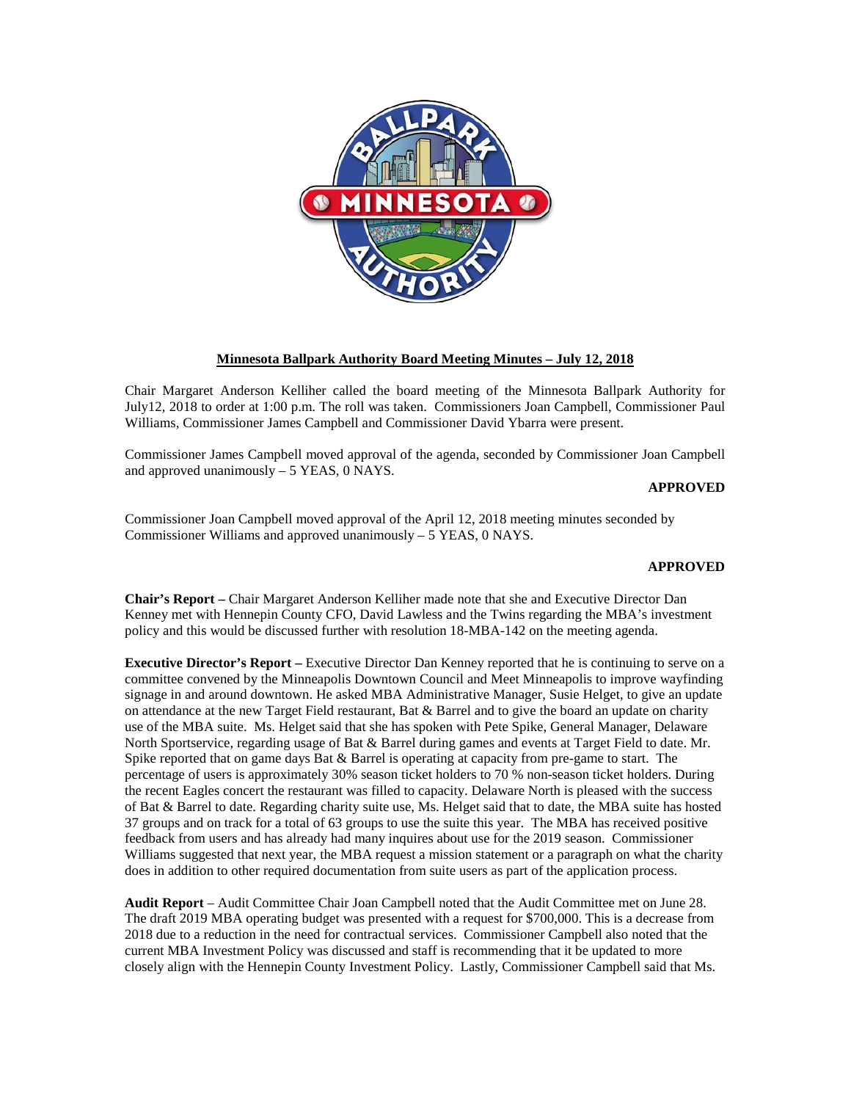

# **Minnesota Ballpark Authority Board Meeting Minutes – July 12, 2018**

Chair Margaret Anderson Kelliher called the board meeting of the Minnesota Ballpark Authority for July12, 2018 to order at 1:00 p.m. The roll was taken. Commissioners Joan Campbell, Commissioner Paul Williams, Commissioner James Campbell and Commissioner David Ybarra were present.

Commissioner James Campbell moved approval of the agenda, seconded by Commissioner Joan Campbell and approved unanimously – 5 YEAS, 0 NAYS.

**APPROVED**

Commissioner Joan Campbell moved approval of the April 12, 2018 meeting minutes seconded by Commissioner Williams and approved unanimously – 5 YEAS, 0 NAYS.

# **APPROVED**

**Chair's Report –** Chair Margaret Anderson Kelliher made note that she and Executive Director Dan Kenney met with Hennepin County CFO, David Lawless and the Twins regarding the MBA's investment policy and this would be discussed further with resolution 18-MBA-142 on the meeting agenda.

**Executive Director's Report –** Executive Director Dan Kenney reported that he is continuing to serve on a committee convened by the Minneapolis Downtown Council and Meet Minneapolis to improve wayfinding signage in and around downtown. He asked MBA Administrative Manager, Susie Helget, to give an update on attendance at the new Target Field restaurant, Bat & Barrel and to give the board an update on charity use of the MBA suite. Ms. Helget said that she has spoken with Pete Spike, General Manager, Delaware North Sportservice, regarding usage of Bat & Barrel during games and events at Target Field to date. Mr. Spike reported that on game days Bat & Barrel is operating at capacity from pre-game to start. The percentage of users is approximately 30% season ticket holders to 70 % non-season ticket holders. During the recent Eagles concert the restaurant was filled to capacity. Delaware North is pleased with the success of Bat & Barrel to date. Regarding charity suite use, Ms. Helget said that to date, the MBA suite has hosted 37 groups and on track for a total of 63 groups to use the suite this year. The MBA has received positive feedback from users and has already had many inquires about use for the 2019 season. Commissioner Williams suggested that next year, the MBA request a mission statement or a paragraph on what the charity does in addition to other required documentation from suite users as part of the application process.

**Audit Report** – Audit Committee Chair Joan Campbell noted that the Audit Committee met on June 28. The draft 2019 MBA operating budget was presented with a request for \$700,000. This is a decrease from 2018 due to a reduction in the need for contractual services. Commissioner Campbell also noted that the current MBA Investment Policy was discussed and staff is recommending that it be updated to more closely align with the Hennepin County Investment Policy. Lastly, Commissioner Campbell said that Ms.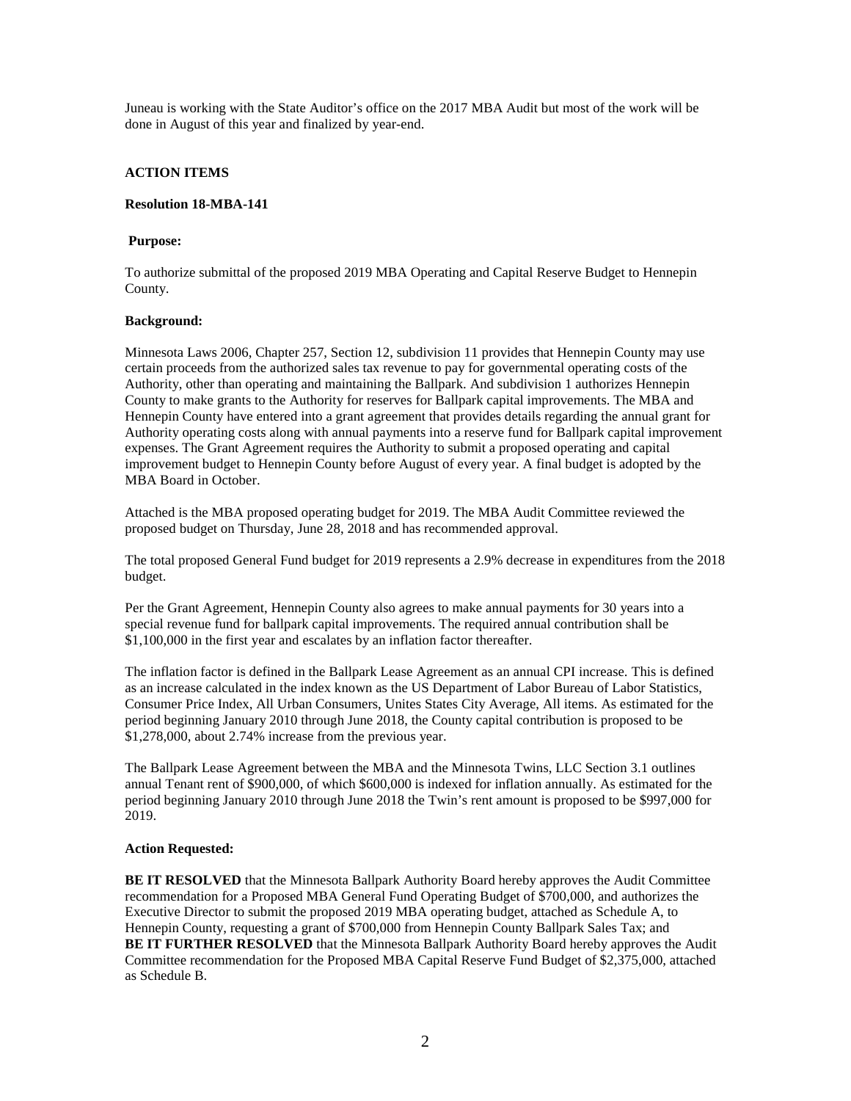Juneau is working with the State Auditor's office on the 2017 MBA Audit but most of the work will be done in August of this year and finalized by year-end.

# **ACTION ITEMS**

# **Resolution 18-MBA-141**

#### **Purpose:**

To authorize submittal of the proposed 2019 MBA Operating and Capital Reserve Budget to Hennepin County.

#### **Background:**

Minnesota Laws 2006, Chapter 257, Section 12, subdivision 11 provides that Hennepin County may use certain proceeds from the authorized sales tax revenue to pay for governmental operating costs of the Authority, other than operating and maintaining the Ballpark. And subdivision 1 authorizes Hennepin County to make grants to the Authority for reserves for Ballpark capital improvements. The MBA and Hennepin County have entered into a grant agreement that provides details regarding the annual grant for Authority operating costs along with annual payments into a reserve fund for Ballpark capital improvement expenses. The Grant Agreement requires the Authority to submit a proposed operating and capital improvement budget to Hennepin County before August of every year. A final budget is adopted by the MBA Board in October.

Attached is the MBA proposed operating budget for 2019. The MBA Audit Committee reviewed the proposed budget on Thursday, June 28, 2018 and has recommended approval.

The total proposed General Fund budget for 2019 represents a 2.9% decrease in expenditures from the 2018 budget.

Per the Grant Agreement, Hennepin County also agrees to make annual payments for 30 years into a special revenue fund for ballpark capital improvements. The required annual contribution shall be \$1,100,000 in the first year and escalates by an inflation factor thereafter.

The inflation factor is defined in the Ballpark Lease Agreement as an annual CPI increase. This is defined as an increase calculated in the index known as the US Department of Labor Bureau of Labor Statistics, Consumer Price Index, All Urban Consumers, Unites States City Average, All items. As estimated for the period beginning January 2010 through June 2018, the County capital contribution is proposed to be \$1,278,000, about 2.74% increase from the previous year.

The Ballpark Lease Agreement between the MBA and the Minnesota Twins, LLC Section 3.1 outlines annual Tenant rent of \$900,000, of which \$600,000 is indexed for inflation annually. As estimated for the period beginning January 2010 through June 2018 the Twin's rent amount is proposed to be \$997,000 for 2019.

# **Action Requested:**

**BE IT RESOLVED** that the Minnesota Ballpark Authority Board hereby approves the Audit Committee recommendation for a Proposed MBA General Fund Operating Budget of \$700,000, and authorizes the Executive Director to submit the proposed 2019 MBA operating budget, attached as Schedule A, to Hennepin County, requesting a grant of \$700,000 from Hennepin County Ballpark Sales Tax; and **BE IT FURTHER RESOLVED** that the Minnesota Ballpark Authority Board hereby approves the Audit Committee recommendation for the Proposed MBA Capital Reserve Fund Budget of \$2,375,000, attached as Schedule B.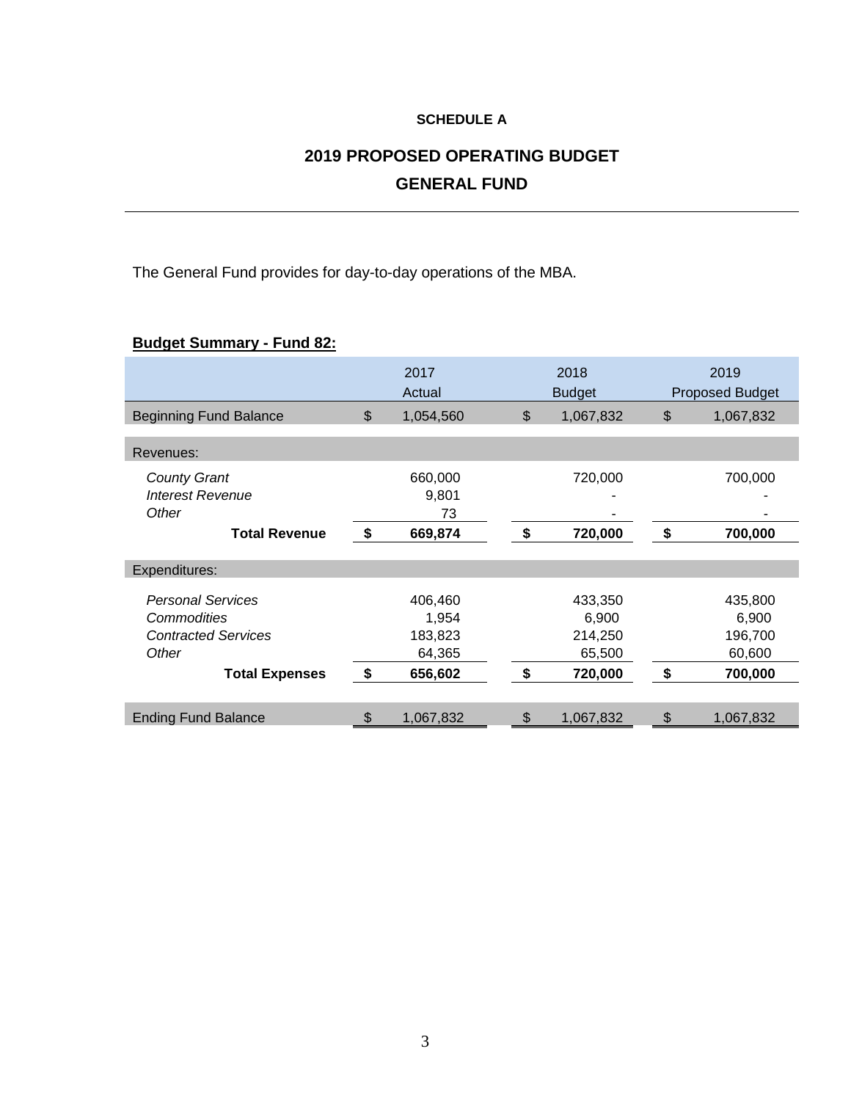# **SCHEDULE A**

# **2019 PROPOSED OPERATING BUDGET GENERAL FUND**

The General Fund provides for day-to-day operations of the MBA.

# **Budget Summary - Fund 82:**

|                                                                                                         |               | 2017<br>Actual                                   |               | 2019<br><b>Proposed Budget</b>                   |                                                        |  |
|---------------------------------------------------------------------------------------------------------|---------------|--------------------------------------------------|---------------|--------------------------------------------------|--------------------------------------------------------|--|
| <b>Beginning Fund Balance</b>                                                                           | $\mathcal{L}$ | 1,054,560                                        | \$            | 1,067,832                                        | \$<br>1,067,832                                        |  |
| Revenues:                                                                                               |               |                                                  |               |                                                  |                                                        |  |
| <b>County Grant</b><br><b>Interest Revenue</b><br>Other                                                 |               | 660,000<br>9,801<br>73                           |               | 720,000                                          | 700,000                                                |  |
| <b>Total Revenue</b>                                                                                    | \$            | 669,874                                          | \$            | 720,000                                          | \$<br>700,000                                          |  |
| Expenditures:                                                                                           |               |                                                  |               |                                                  |                                                        |  |
| <b>Personal Services</b><br>Commodities<br><b>Contracted Services</b><br>Other<br><b>Total Expenses</b> | - \$          | 406,460<br>1,954<br>183,823<br>64,365<br>656,602 | \$            | 433,350<br>6,900<br>214,250<br>65,500<br>720,000 | \$<br>435,800<br>6,900<br>196,700<br>60,600<br>700,000 |  |
| <b>Ending Fund Balance</b>                                                                              | $\frac{2}{3}$ | 1,067,832                                        | $\frac{1}{2}$ | 1,067,832                                        | \$<br>1,067,832                                        |  |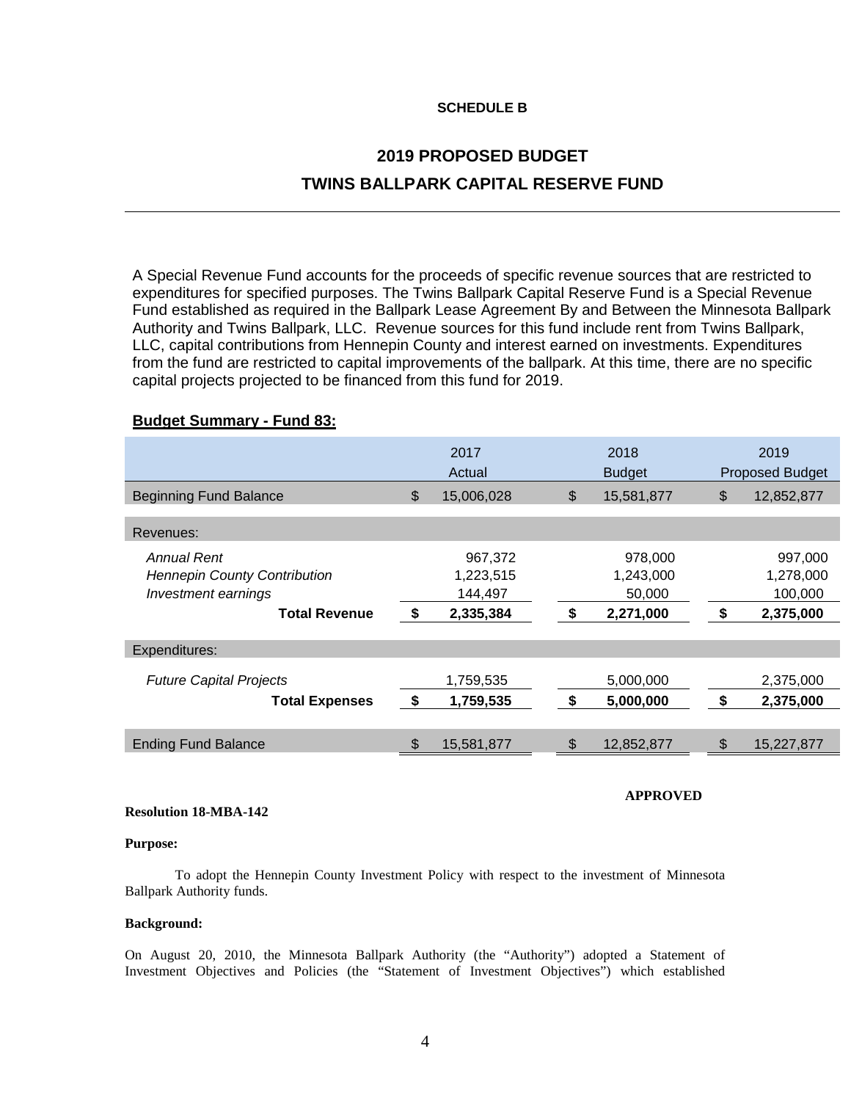# **SCHEDULE B**

# **2019 PROPOSED BUDGET TWINS BALLPARK CAPITAL RESERVE FUND**

A Special Revenue Fund accounts for the proceeds of specific revenue sources that are restricted to expenditures for specified purposes. The Twins Ballpark Capital Reserve Fund is a Special Revenue Fund established as required in the Ballpark Lease Agreement By and Between the Minnesota Ballpark Authority and Twins Ballpark, LLC. Revenue sources for this fund include rent from Twins Ballpark, LLC, capital contributions from Hennepin County and interest earned on investments. Expenditures from the fund are restricted to capital improvements of the ballpark. At this time, there are no specific capital projects projected to be financed from this fund for 2019.

|                                     |     | 2017<br>Actual |    | 2018<br><b>Budget</b> |    | 2019<br><b>Proposed Budget</b> |
|-------------------------------------|-----|----------------|----|-----------------------|----|--------------------------------|
| <b>Beginning Fund Balance</b>       | \$  | 15,006,028     | \$ | 15,581,877            | \$ | 12,852,877                     |
| Revenues:                           |     |                |    |                       |    |                                |
| <b>Annual Rent</b>                  |     | 967,372        |    | 978,000               |    | 997,000                        |
| <b>Hennepin County Contribution</b> |     | 1,223,515      |    | 1,243,000             |    | 1,278,000                      |
| Investment earnings                 |     | 144,497        |    | 50,000                |    | 100,000                        |
| <b>Total Revenue</b>                | \$  | 2,335,384      | S  | 2,271,000             | \$ | 2,375,000                      |
| Expenditures:                       |     |                |    |                       |    |                                |
| <b>Future Capital Projects</b>      |     | 1,759,535      |    | 5,000,000             |    | 2,375,000                      |
| <b>Total Expenses</b>               | -\$ | 1,759,535      | \$ | 5,000,000             | \$ | 2,375,000                      |
|                                     |     |                |    |                       |    |                                |
| Ending Fund Balance                 | \$  | 15,581,877     |    | 12,852,877            |    | 15,227,877                     |

# **Budget Summary - Fund 83:**

#### **APPROVED**

# **Resolution 18-MBA-142**

#### **Purpose:**

To adopt the Hennepin County Investment Policy with respect to the investment of Minnesota Ballpark Authority funds.

# **Background:**

On August 20, 2010, the Minnesota Ballpark Authority (the "Authority") adopted a Statement of Investment Objectives and Policies (the "Statement of Investment Objectives") which established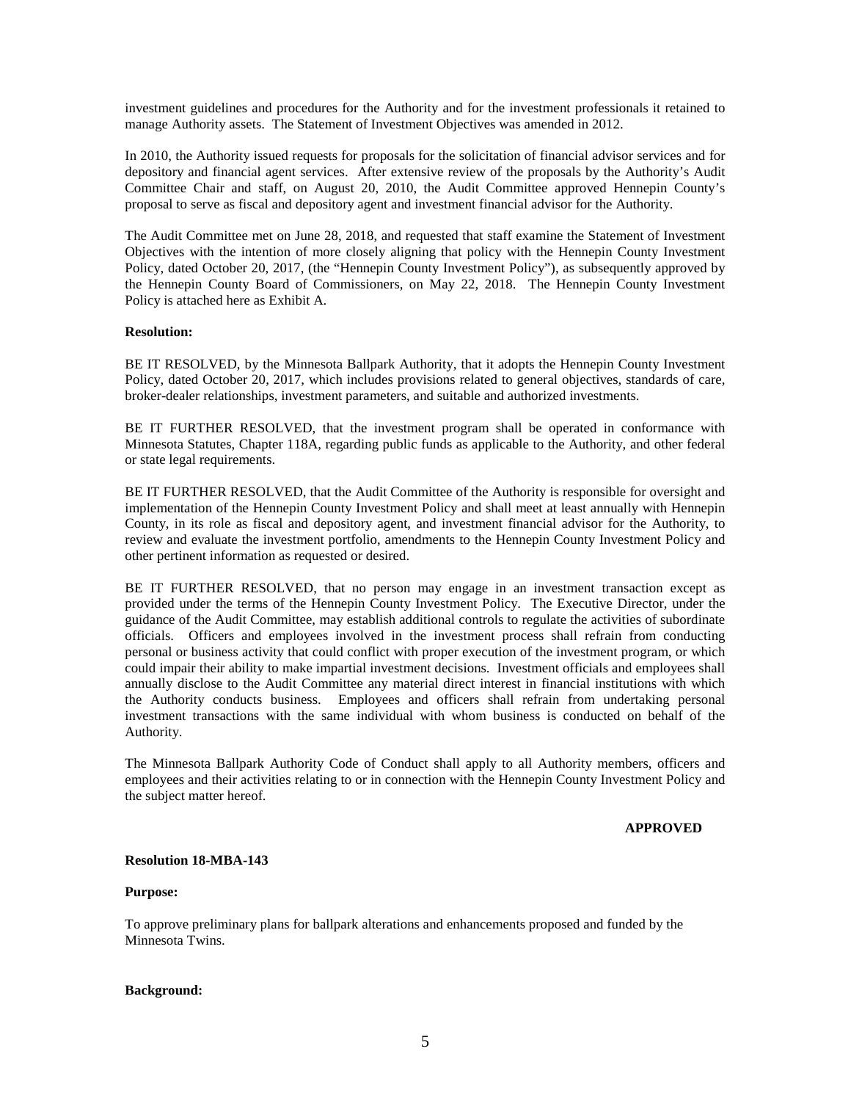investment guidelines and procedures for the Authority and for the investment professionals it retained to manage Authority assets. The Statement of Investment Objectives was amended in 2012.

In 2010, the Authority issued requests for proposals for the solicitation of financial advisor services and for depository and financial agent services. After extensive review of the proposals by the Authority's Audit Committee Chair and staff, on August 20, 2010, the Audit Committee approved Hennepin County's proposal to serve as fiscal and depository agent and investment financial advisor for the Authority.

The Audit Committee met on June 28, 2018, and requested that staff examine the Statement of Investment Objectives with the intention of more closely aligning that policy with the Hennepin County Investment Policy, dated October 20, 2017, (the "Hennepin County Investment Policy"), as subsequently approved by the Hennepin County Board of Commissioners, on May 22, 2018. The Hennepin County Investment Policy is attached here as Exhibit A.

# **Resolution:**

BE IT RESOLVED, by the Minnesota Ballpark Authority, that it adopts the Hennepin County Investment Policy, dated October 20, 2017, which includes provisions related to general objectives, standards of care, broker-dealer relationships, investment parameters, and suitable and authorized investments.

BE IT FURTHER RESOLVED, that the investment program shall be operated in conformance with Minnesota Statutes, Chapter 118A, regarding public funds as applicable to the Authority, and other federal or state legal requirements.

BE IT FURTHER RESOLVED, that the Audit Committee of the Authority is responsible for oversight and implementation of the Hennepin County Investment Policy and shall meet at least annually with Hennepin County, in its role as fiscal and depository agent, and investment financial advisor for the Authority, to review and evaluate the investment portfolio, amendments to the Hennepin County Investment Policy and other pertinent information as requested or desired.

BE IT FURTHER RESOLVED, that no person may engage in an investment transaction except as provided under the terms of the Hennepin County Investment Policy. The Executive Director, under the guidance of the Audit Committee, may establish additional controls to regulate the activities of subordinate officials. Officers and employees involved in the investment process shall refrain from conducting personal or business activity that could conflict with proper execution of the investment program, or which could impair their ability to make impartial investment decisions. Investment officials and employees shall annually disclose to the Audit Committee any material direct interest in financial institutions with which the Authority conducts business. Employees and officers shall refrain from undertaking personal investment transactions with the same individual with whom business is conducted on behalf of the Authority.

The Minnesota Ballpark Authority Code of Conduct shall apply to all Authority members, officers and employees and their activities relating to or in connection with the Hennepin County Investment Policy and the subject matter hereof.

# **APPROVED**

# **Resolution 18-MBA-143**

# **Purpose:**

To approve preliminary plans for ballpark alterations and enhancements proposed and funded by the Minnesota Twins.

# **Background:**